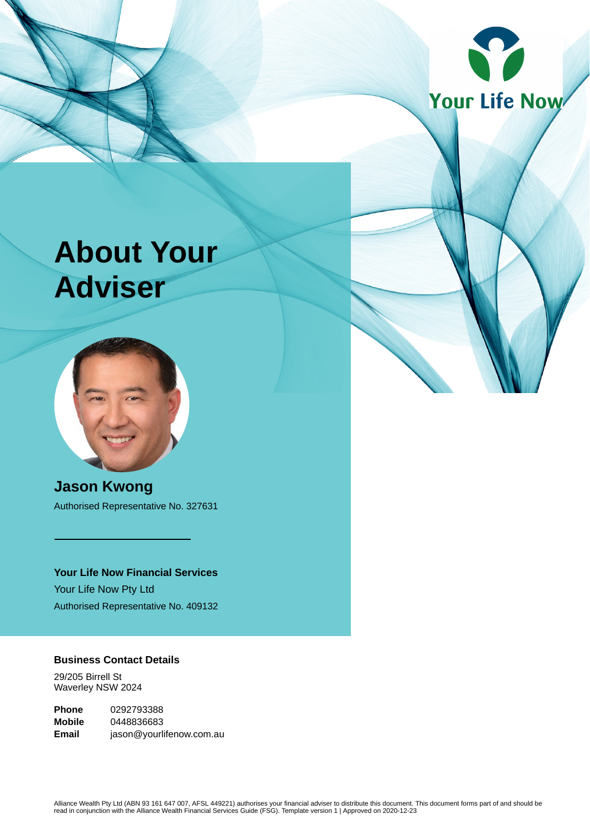

# **About Your Adviser**



**Jason Kwong** Authorised Representative No. 327631

**Your Life Now Financial Services** Your Life Now Pty Ltd Authorised Representative No. 409132

# **Business Contact Details**

29/205 Birrell St Waverley NSW 2024

**Phone** 0292793388 **Mobile** 0448836683 **Email** jason@yourlifenow.com.au

Alliance Wealth Pty Ltd (ABN 93 161 647 007, AFSL 449221) authorises your financial adviser to distribute this document. This document forms part of and should be<br>read in conjunction with the Alliance Wealth Financial Serv